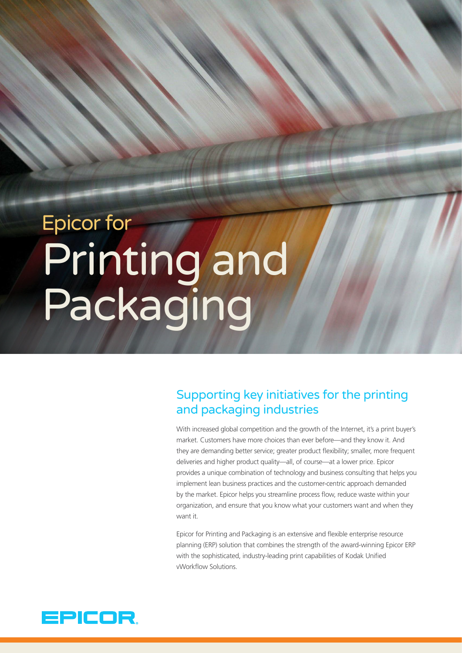# Epicor for Printing and Packaging

# Supporting key initiatives for the printing and packaging industries

With increased global competition and the growth of the Internet, it's a print buyer's market. Customers have more choices than ever before—and they know it. And they are demanding better service; greater product flexibility; smaller, more frequent deliveries and higher product quality—all, of course—at a lower price. Epicor provides a unique combination of technology and business consulting that helps you implement lean business practices and the customer-centric approach demanded by the market. Epicor helps you streamline process flow, reduce waste within your organization, and ensure that you know what your customers want and when they want it.

Epicor for Printing and Packaging is an extensive and flexible enterprise resource planning (ERP) solution that combines the strength of the award-winning Epicor ERP with the sophisticated, industry-leading print capabilities of Kodak Unified vWorkflow Solutions.

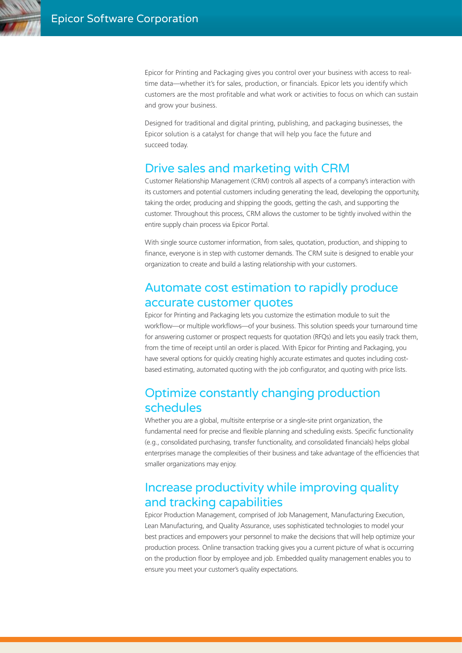Epicor for Printing and Packaging gives you control over your business with access to realtime data—whether it's for sales, production, or financials. Epicor lets you identify which customers are the most profitable and what work or activities to focus on which can sustain and grow your business.

Designed for traditional and digital printing, publishing, and packaging businesses, the Epicor solution is a catalyst for change that will help you face the future and succeed today.

## Drive sales and marketing with CRM

Customer Relationship Management (CRM) controls all aspects of a company's interaction with its customers and potential customers including generating the lead, developing the opportunity, taking the order, producing and shipping the goods, getting the cash, and supporting the customer. Throughout this process, CRM allows the customer to be tightly involved within the entire supply chain process via Epicor Portal.

With single source customer information, from sales, quotation, production, and shipping to finance, everyone is in step with customer demands. The CRM suite is designed to enable your organization to create and build a lasting relationship with your customers.

# Automate cost estimation to rapidly produce accurate customer quotes

Epicor for Printing and Packaging lets you customize the estimation module to suit the workflow—or multiple workflows—of your business. This solution speeds your turnaround time for answering customer or prospect requests for quotation (RFQs) and lets you easily track them, from the time of receipt until an order is placed. With Epicor for Printing and Packaging, you have several options for quickly creating highly accurate estimates and quotes including costbased estimating, automated quoting with the job configurator, and quoting with price lists.

## Optimize constantly changing production schedules

Whether you are a global, multisite enterprise or a single-site print organization, the fundamental need for precise and flexible planning and scheduling exists. Specific functionality (e.g., consolidated purchasing, transfer functionality, and consolidated financials) helps global enterprises manage the complexities of their business and take advantage of the efficiencies that smaller organizations may enjoy.

# Increase productivity while improving quality and tracking capabilities

Epicor Production Management, comprised of Job Management, Manufacturing Execution, Lean Manufacturing, and Quality Assurance, uses sophisticated technologies to model your best practices and empowers your personnel to make the decisions that will help optimize your production process. Online transaction tracking gives you a current picture of what is occurring on the production floor by employee and job. Embedded quality management enables you to ensure you meet your customer's quality expectations.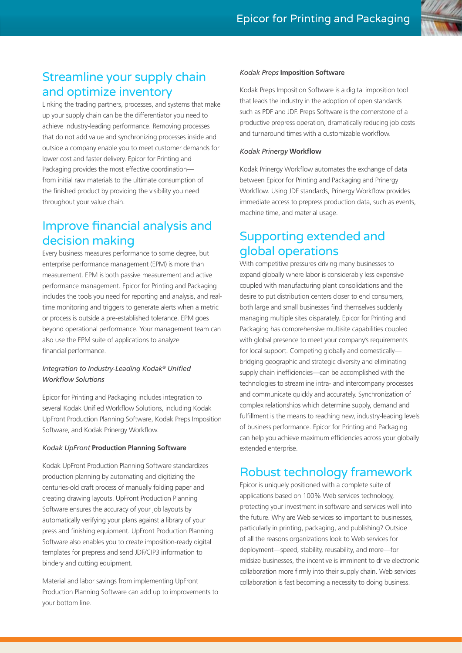

# Streamline your supply chain and optimize inventory

Linking the trading partners, processes, and systems that make up your supply chain can be the differentiator you need to achieve industry-leading performance. Removing processes that do not add value and synchronizing processes inside and outside a company enable you to meet customer demands for lower cost and faster delivery. Epicor for Printing and Packaging provides the most effective coordination from initial raw materials to the ultimate consumption of the finished product by providing the visibility you need throughout your value chain.

# Improve financial analysis and decision making

Every business measures performance to some degree, but enterprise performance management (EPM) is more than measurement. EPM is both passive measurement and active performance management. Epicor for Printing and Packaging includes the tools you need for reporting and analysis, and realtime monitoring and triggers to generate alerts when a metric or process is outside a pre-established tolerance. EPM goes beyond operational performance. Your management team can also use the EPM suite of applications to analyze financial performance.

#### *Integration to Industry-Leading Kodak® Unified Workflow Solutions*

Epicor for Printing and Packaging includes integration to several Kodak Unified Workflow Solutions, including Kodak UpFront Production Planning Software, Kodak Preps Imposition Software, and Kodak Prinergy Workflow.

#### *Kodak UpFront* **Production Planning Software**

Kodak UpFront Production Planning Software standardizes production planning by automating and digitizing the centuries-old craft process of manually folding paper and creating drawing layouts. UpFront Production Planning Software ensures the accuracy of your job layouts by automatically verifying your plans against a library of your press and finishing equipment. UpFront Production Planning Software also enables you to create imposition-ready digital templates for prepress and send JDF/CIP3 information to bindery and cutting equipment.

Material and labor savings from implementing UpFront Production Planning Software can add up to improvements to your bottom line.

#### *Kodak Preps* **Imposition Software**

Kodak Preps Imposition Software is a digital imposition tool that leads the industry in the adoption of open standards such as PDF and JDF. Preps Software is the cornerstone of a productive prepress operation, dramatically reducing job costs and turnaround times with a customizable workflow.

#### *Kodak Prinergy* **Workflow**

Kodak Prinergy Workflow automates the exchange of data between Epicor for Printing and Packaging and Prinergy Workflow. Using JDF standards, Prinergy Workflow provides immediate access to prepress production data, such as events, machine time, and material usage.

# Supporting extended and global operations

With competitive pressures driving many businesses to expand globally where labor is considerably less expensive coupled with manufacturing plant consolidations and the desire to put distribution centers closer to end consumers, both large and small businesses find themselves suddenly managing multiple sites disparately. Epicor for Printing and Packaging has comprehensive multisite capabilities coupled with global presence to meet your company's requirements for local support. Competing globally and domestically bridging geographic and strategic diversity and eliminating supply chain inefficiencies—can be accomplished with the technologies to streamline intra- and intercompany processes and communicate quickly and accurately. Synchronization of complex relationships which determine supply, demand and fulfillment is the means to reaching new, industry-leading levels of business performance. Epicor for Printing and Packaging can help you achieve maximum efficiencies across your globally extended enterprise.

# Robust technology framework

Epicor is uniquely positioned with a complete suite of applications based on 100% Web services technology, protecting your investment in software and services well into the future. Why are Web services so important to businesses, particularly in printing, packaging, and publishing? Outside of all the reasons organizations look to Web services for deployment—speed, stability, reusability, and more—for midsize businesses, the incentive is imminent to drive electronic collaboration more firmly into their supply chain. Web services collaboration is fast becoming a necessity to doing business.